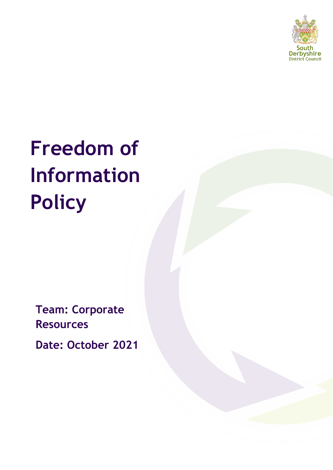

# **Freedom of Information Policy**

**Team: Corporate Resources**

**Date: October 2021**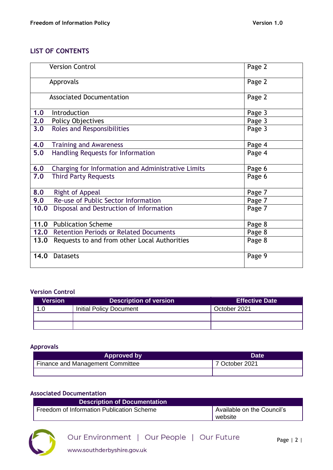# **LIST OF CONTENTS**

|      | <b>Version Control</b>                             | Page 2 |
|------|----------------------------------------------------|--------|
|      | Approvals                                          | Page 2 |
|      | <b>Associated Documentation</b>                    | Page 2 |
| 1.0  | Introduction                                       | Page 3 |
| 2.0  | <b>Policy Objectives</b>                           | Page 3 |
| 3.0  | Roles and Responsibilities                         | Page 3 |
| 4.0  | <b>Training and Awareness</b>                      | Page 4 |
| 5.0  | Handling Requests for Information                  | Page 4 |
| 6.0  | Charging for Information and Administrative Limits | Page 6 |
| 7.0  | <b>Third Party Requests</b>                        | Page 6 |
| 8.0  | Right of Appeal                                    | Page 7 |
| 9.0  | Re-use of Public Sector Information                | Page 7 |
| 10.0 | Disposal and Destruction of Information            | Page 7 |
|      | 11.0 Publication Scheme                            | Page 8 |
|      | 12.0 Retention Periods or Related Documents        | Page 8 |
| 13.0 | Requests to and from other Local Authorities       | Page 8 |
| 14.0 | <b>Datasets</b>                                    | Page 9 |

#### **Version Control**

| Version | Description of version $^{\prime}$ | <b>Effective Date</b>     |
|---------|------------------------------------|---------------------------|
|         | <b>Initial Policy Document</b>     | October 2021 <sup>'</sup> |
|         |                                    |                           |
|         |                                    |                           |

#### **Approvals**

| <b>Approved by</b>               | <b>Date</b>    |
|----------------------------------|----------------|
| Finance and Management Committee | 7 October 2021 |
|                                  |                |

#### **Associated Documentation**

| Description of Documentation              |                            |
|-------------------------------------------|----------------------------|
| Freedom of Information Publication Scheme | Available on the Council's |
|                                           | website                    |

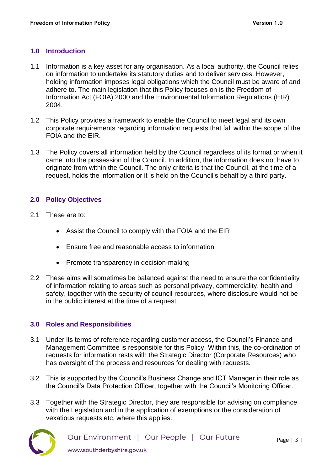## **1.0 Introduction**

- 1.1 Information is a key asset for any organisation. As a local authority, the Council relies on information to undertake its statutory duties and to deliver services. However, holding information imposes legal obligations which the Council must be aware of and adhere to. The main legislation that this Policy focuses on is the Freedom of Information Act (FOIA) 2000 and the Environmental Information Regulations (EIR) 2004.
- 1.2 This Policy provides a framework to enable the Council to meet legal and its own corporate requirements regarding information requests that fall within the scope of the FOIA and the EIR.
- 1.3 The Policy covers all information held by the Council regardless of its format or when it came into the possession of the Council. In addition, the information does not have to originate from within the Council. The only criteria is that the Council, at the time of a request, holds the information or it is held on the Council's behalf by a third party.

#### **2.0 Policy Objectives**

- 2.1 These are to:
	- Assist the Council to comply with the FOIA and the EIR
	- Ensure free and reasonable access to information
	- Promote transparency in decision-making
- 2.2 These aims will sometimes be balanced against the need to ensure the confidentiality of information relating to areas such as personal privacy, commerciality, health and safety, together with the security of council resources, where disclosure would not be in the public interest at the time of a request.

#### **3.0 Roles and Responsibilities**

- 3.1 Under its terms of reference regarding customer access, the Council's Finance and Management Committee is responsible for this Policy. Within this, the co-ordination of requests for information rests with the Strategic Director (Corporate Resources) who has oversight of the process and resources for dealing with requests.
- 3.2 This is supported by the Council's Business Change and ICT Manager in their role as the Council's Data Protection Officer, together with the Council's Monitoring Officer.
- 3.3 Together with the Strategic Director, they are responsible for advising on compliance with the Legislation and in the application of exemptions or the consideration of vexatious requests etc, where this applies.

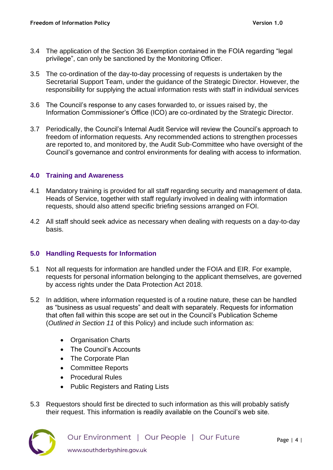- 3.4 The application of the Section 36 Exemption contained in the FOIA regarding "legal privilege", can only be sanctioned by the Monitoring Officer.
- 3.5 The co-ordination of the day-to-day processing of requests is undertaken by the Secretarial Support Team, under the guidance of the Strategic Director. However, the responsibility for supplying the actual information rests with staff in individual services
- 3.6 The Council's response to any cases forwarded to, or issues raised by, the Information Commissioner's Office (ICO) are co-ordinated by the Strategic Director.
- 3.7 Periodically, the Council's Internal Audit Service will review the Council's approach to freedom of information requests. Any recommended actions to strengthen processes are reported to, and monitored by, the Audit Sub-Committee who have oversight of the Council's governance and control environments for dealing with access to information.

#### **4.0 Training and Awareness**

- 4.1 Mandatory training is provided for all staff regarding security and management of data. Heads of Service, together with staff regularly involved in dealing with information requests, should also attend specific briefing sessions arranged on FOI.
- 4.2 All staff should seek advice as necessary when dealing with requests on a day-to-day basis.

# **5.0 Handling Requests for Information**

- 5.1 Not all requests for information are handled under the FOIA and EIR. For example, requests for personal information belonging to the applicant themselves, are governed by access rights under the Data Protection Act 2018.
- 5.2 In addition, where information requested is of a routine nature, these can be handled as "business as usual requests" and dealt with separately. Requests for information that often fall within this scope are set out in the Council's Publication Scheme (*Outlined in Section 11* of this Policy) and include such information as:
	- Organisation Charts
	- The Council's Accounts
	- The Corporate Plan
	- Committee Reports
	- Procedural Rules
	- Public Registers and Rating Lists
- 5.3 Requestors should first be directed to such information as this will probably satisfy their request. This information is readily available on the Council's web site.

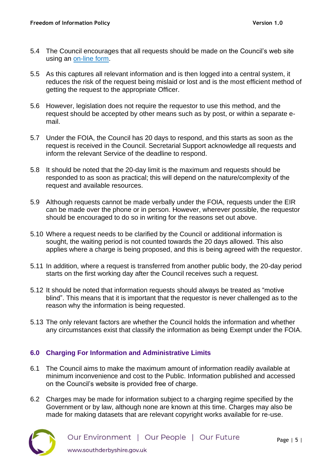- 5.4 The Council encourages that all requests should be made on the Council's web site using an [on-line form.](https://www.southderbyshire.gov.uk/about-us/freedom-of-information)
- 5.5 As this captures all relevant information and is then logged into a central system, it reduces the risk of the request being mislaid or lost and is the most efficient method of getting the request to the appropriate Officer.
- 5.6 However, legislation does not require the requestor to use this method, and the request should be accepted by other means such as by post, or within a separate email.
- 5.7 Under the FOIA, the Council has 20 days to respond, and this starts as soon as the request is received in the Council. Secretarial Support acknowledge all requests and inform the relevant Service of the deadline to respond.
- 5.8 It should be noted that the 20-day limit is the maximum and requests should be responded to as soon as practical; this will depend on the nature/complexity of the request and available resources.
- 5.9 Although requests cannot be made verbally under the FOIA, requests under the EIR can be made over the phone or in person. However, wherever possible, the requestor should be encouraged to do so in writing for the reasons set out above.
- 5.10 Where a request needs to be clarified by the Council or additional information is sought, the waiting period is not counted towards the 20 days allowed. This also applies where a charge is being proposed, and this is being agreed with the requestor.
- 5.11 In addition, where a request is transferred from another public body, the 20-day period starts on the first working day after the Council receives such a request.
- 5.12 It should be noted that information requests should always be treated as "motive blind". This means that it is important that the requestor is never challenged as to the reason why the information is being requested.
- 5.13 The only relevant factors are whether the Council holds the information and whether any circumstances exist that classify the information as being Exempt under the FOIA.

#### **6.0 Charging For Information and Administrative Limits**

- 6.1 The Council aims to make the maximum amount of information readily available at minimum inconvenience and cost to the Public. Information published and accessed on the Council's website is provided free of charge.
- 6.2 Charges may be made for information subject to a charging regime specified by the Government or by law, although none are known at this time. Charges may also be made for making datasets that are relevant copyright works available for re-use.

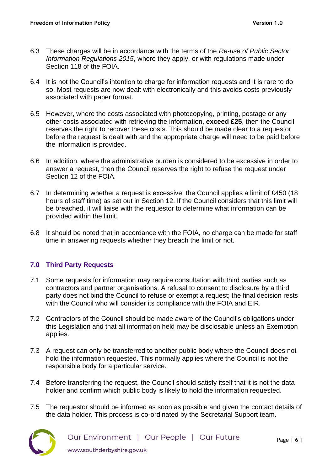- 6.3 These charges will be in accordance with the terms of the *Re-use of Public Sector Information Regulations 2015*, where they apply, or with regulations made under Section 118 of the FOIA.
- 6.4 It is not the Council's intention to charge for information requests and it is rare to do so. Most requests are now dealt with electronically and this avoids costs previously associated with paper format.
- 6.5 However, where the costs associated with photocopying, printing, postage or any other costs associated with retrieving the information, **exceed £25**, then the Council reserves the right to recover these costs. This should be made clear to a requestor before the request is dealt with and the appropriate charge will need to be paid before the information is provided.
- 6.6 In addition, where the administrative burden is considered to be excessive in order to answer a request, then the Council reserves the right to refuse the request under Section 12 of the FOIA.
- 6.7 In determining whether a request is excessive, the Council applies a limit of £450 (18 hours of staff time) as set out in Section 12. If the Council considers that this limit will be breached, it will liaise with the requestor to determine what information can be provided within the limit.
- 6.8 It should be noted that in accordance with the FOIA, no charge can be made for staff time in answering requests whether they breach the limit or not.

#### **7.0 Third Party Requests**

- 7.1 Some requests for information may require consultation with third parties such as contractors and partner organisations. A refusal to consent to disclosure by a third party does not bind the Council to refuse or exempt a request; the final decision rests with the Council who will consider its compliance with the FOIA and EIR.
- 7.2 Contractors of the Council should be made aware of the Council's obligations under this Legislation and that all information held may be disclosable unless an Exemption applies.
- 7.3 A request can only be transferred to another public body where the Council does not hold the information requested. This normally applies where the Council is not the responsible body for a particular service.
- 7.4 Before transferring the request, the Council should satisfy itself that it is not the data holder and confirm which public body is likely to hold the information requested.
- 7.5 The requestor should be informed as soon as possible and given the contact details of the data holder. This process is co-ordinated by the Secretarial Support team.

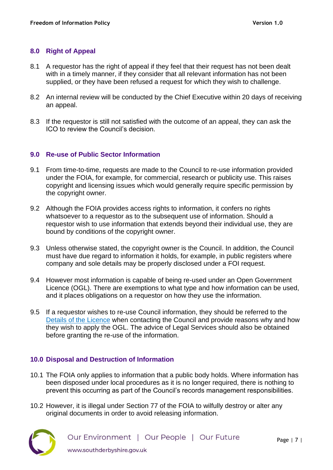## **8.0 Right of Appeal**

- 8.1 A requestor has the right of appeal if they feel that their request has not been dealt with in a timely manner, if they consider that all relevant information has not been supplied, or they have been refused a request for which they wish to challenge.
- 8.2 An internal review will be conducted by the Chief Executive within 20 days of receiving an appeal.
- 8.3 If the requestor is still not satisfied with the outcome of an appeal, they can ask the ICO to review the Council's decision.

#### **9.0 Re-use of Public Sector Information**

- 9.1 From time-to-time, requests are made to the Council to re-use information provided under the FOIA, for example, for commercial, research or publicity use. This raises copyright and licensing issues which would generally require specific permission by the copyright owner.
- 9.2 Although the FOIA provides access rights to information, it confers no rights whatsoever to a requestor as to the subsequent use of information. Should a requestor wish to use information that extends beyond their individual use, they are bound by conditions of the copyright owner.
- 9.3 Unless otherwise stated, the copyright owner is the Council. In addition, the Council must have due regard to information it holds, for example, in public registers where company and sole details may be properly disclosed under a FOI request.
- 9.4 However most information is capable of being re-used under an Open Government Licence (OGL). There are exemptions to what type and how information can be used, and it places obligations on a requestor on how they use the information.
- 9.5 If a requestor wishes to re-use Council information, they should be referred to the [Details of the Licence](http://www.nationalarchives.gov.uk/doc/open-government-licence/version/3/) when contacting the Council and provide reasons why and how they wish to apply the OGL. The advice of Legal Services should also be obtained before granting the re-use of the information.

#### **10.0 Disposal and Destruction of Information**

- 10.1 The FOIA only applies to information that a public body holds. Where information has been disposed under local procedures as it is no longer required, there is nothing to prevent this occurring as part of the Council's records management responsibilities.
- 10.2 However, it is illegal under Section 77 of the FOIA to wilfully destroy or alter any original documents in order to avoid releasing information.

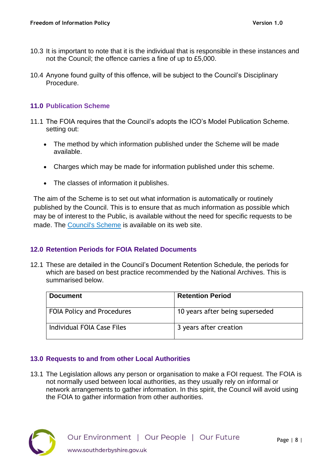- 10.3 It is important to note that it is the individual that is responsible in these instances and not the Council; the offence carries a fine of up to £5,000.
- 10.4 Anyone found guilty of this offence, will be subject to the Council's Disciplinary Procedure.

## **11.0 Publication Scheme**

- 11.1 The FOIA requires that the Council's adopts the ICO's Model Publication Scheme. setting out:
	- The method by which information published under the Scheme will be made available.
	- Charges which may be made for information published under this scheme.
	- The classes of information it publishes.

The aim of the Scheme is to set out what information is automatically or routinely published by the Council. This is to ensure that as much information as possible which may be of interest to the Public, is available without the need for specific requests to be made. The [Council's Scheme](https://www.southderbyshire.gov.uk/about-us/freedom-of-information) is available on its web site.

# **12.0 Retention Periods for FOIA Related Documents**

12.1 These are detailed in the Council's Document Retention Schedule, the periods for which are based on best practice recommended by the National Archives. This is summarised below.

| <b>Document</b>            | <b>Retention Period</b>         |
|----------------------------|---------------------------------|
| FOIA Policy and Procedures | 10 years after being superseded |
| Individual FOIA Case Files | 3 years after creation          |

# **13.0 Requests to and from other Local Authorities**

13.1 The Legislation allows any person or organisation to make a FOI request. The FOIA is not normally used between local authorities, as they usually rely on informal or network arrangements to gather information. In this spirit, the Council will avoid using the FOIA to gather information from other authorities.